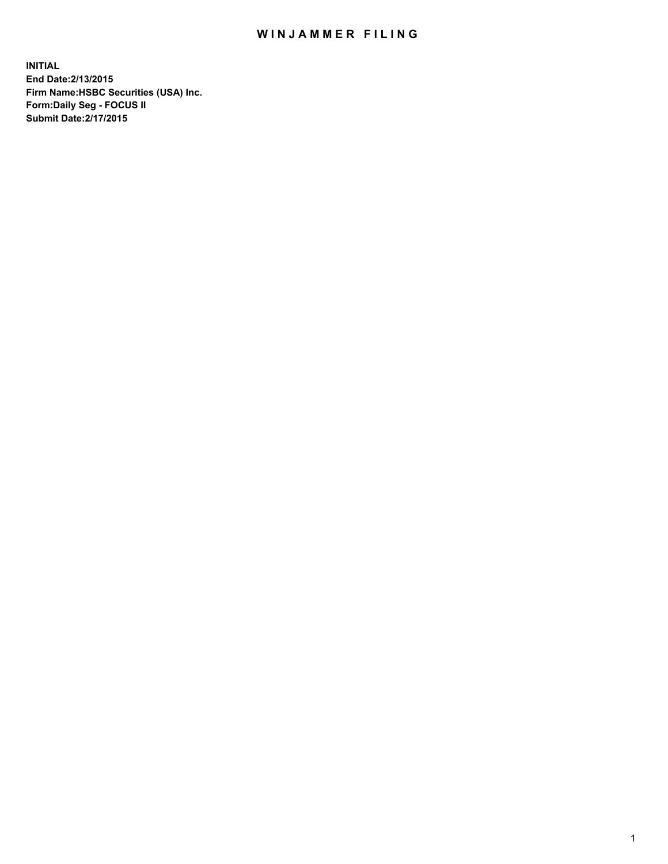## WIN JAMMER FILING

**INITIAL End Date:2/13/2015 Firm Name:HSBC Securities (USA) Inc. Form:Daily Seg - FOCUS II Submit Date:2/17/2015**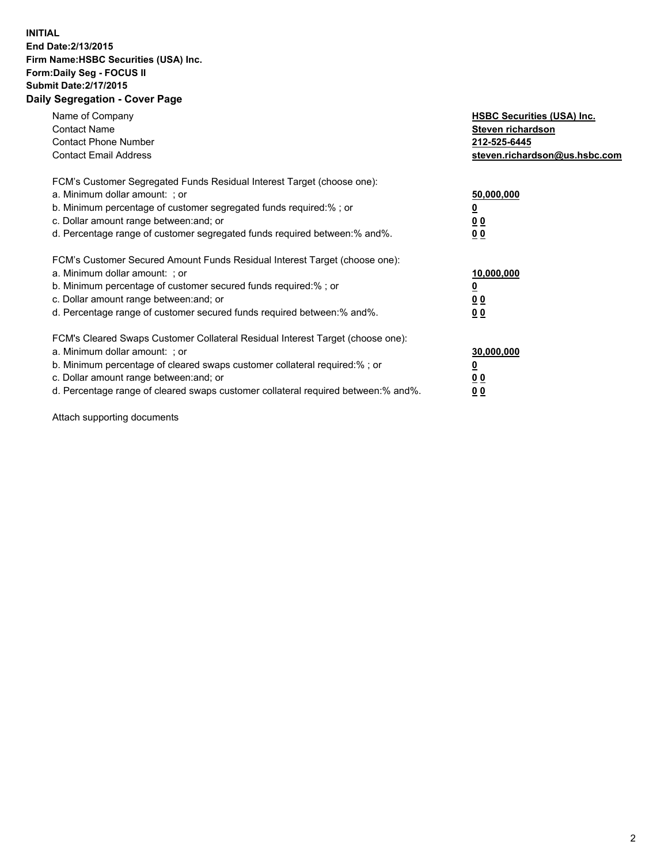## **INITIAL End Date:2/13/2015 Firm Name:HSBC Securities (USA) Inc. Form:Daily Seg - FOCUS II Submit Date:2/17/2015 Daily Segregation - Cover Page**

| Name of Company<br><b>Contact Name</b><br><b>Contact Phone Number</b><br><b>Contact Email Address</b>                                                                                                                                                                                                                          | <b>HSBC Securities (USA) Inc.</b><br>Steven richardson<br>212-525-6445<br>steven.richardson@us.hsbc.com |
|--------------------------------------------------------------------------------------------------------------------------------------------------------------------------------------------------------------------------------------------------------------------------------------------------------------------------------|---------------------------------------------------------------------------------------------------------|
| FCM's Customer Segregated Funds Residual Interest Target (choose one):<br>a. Minimum dollar amount: ; or<br>b. Minimum percentage of customer segregated funds required:%; or<br>c. Dollar amount range between: and; or<br>d. Percentage range of customer segregated funds required between: % and %.                        | 50,000,000<br>0 <sub>0</sub><br>0 <sub>0</sub>                                                          |
| FCM's Customer Secured Amount Funds Residual Interest Target (choose one):<br>a. Minimum dollar amount: ; or<br>b. Minimum percentage of customer secured funds required:%; or<br>c. Dollar amount range between: and; or<br>d. Percentage range of customer secured funds required between:% and%.                            | 10,000,000<br><u>0</u><br>0 <sub>0</sub><br>0 <sub>0</sub>                                              |
| FCM's Cleared Swaps Customer Collateral Residual Interest Target (choose one):<br>a. Minimum dollar amount: ; or<br>b. Minimum percentage of cleared swaps customer collateral required:% ; or<br>c. Dollar amount range between: and; or<br>d. Percentage range of cleared swaps customer collateral required between:% and%. | 30,000,000<br>00<br><u>00</u>                                                                           |

Attach supporting documents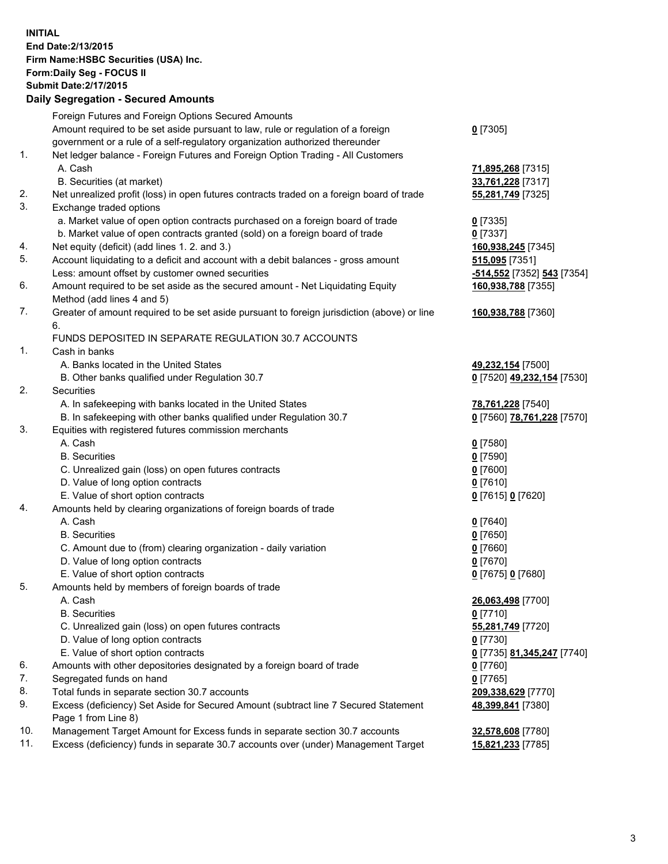**INITIAL End Date:2/13/2015 Firm Name:HSBC Securities (USA) Inc. Form:Daily Seg - FOCUS II Submit Date:2/17/2015 Daily Segregation - Secured Amounts**

Foreign Futures and Foreign Options Secured Amounts Amount required to be set aside pursuant to law, rule or regulation of a foreign government or a rule of a self-regulatory organization authorized thereunder **0** [7305] 1. Net ledger balance - Foreign Futures and Foreign Option Trading - All Customers A. Cash **71,895,268** [7315] B. Securities (at market) **33,761,228** [7317] 2. Net unrealized profit (loss) in open futures contracts traded on a foreign board of trade **55,281,749** [7325] 3. Exchange traded options a. Market value of open option contracts purchased on a foreign board of trade **0** [7335] b. Market value of open contracts granted (sold) on a foreign board of trade **0** [7337] 4. Net equity (deficit) (add lines 1. 2. and 3.) **160,938,245** [7345] 5. Account liquidating to a deficit and account with a debit balances - gross amount **515,095** [7351] Less: amount offset by customer owned securities **-514,552** [7352] **543** [7354] 6. Amount required to be set aside as the secured amount - Net Liquidating Equity Method (add lines 4 and 5) **160,938,788** [7355] 7. Greater of amount required to be set aside pursuant to foreign jurisdiction (above) or line 6. **160,938,788** [7360] FUNDS DEPOSITED IN SEPARATE REGULATION 30.7 ACCOUNTS 1. Cash in banks A. Banks located in the United States **49,232,154** [7500] B. Other banks qualified under Regulation 30.7 **0** [7520] **49,232,154** [7530] 2. Securities A. In safekeeping with banks located in the United States **78,761,228** [7540] B. In safekeeping with other banks qualified under Regulation 30.7 **0** [7560] **78,761,228** [7570] 3. Equities with registered futures commission merchants A. Cash **0** [7580] B. Securities **0** [7590] C. Unrealized gain (loss) on open futures contracts **0** [7600] D. Value of long option contracts **0** [7610] E. Value of short option contracts **0** [7615] **0** [7620] 4. Amounts held by clearing organizations of foreign boards of trade A. Cash **0** [7640] B. Securities **0** [7650] C. Amount due to (from) clearing organization - daily variation **0** [7660] D. Value of long option contracts **0** [7670] E. Value of short option contracts **0** [7675] **0** [7680] 5. Amounts held by members of foreign boards of trade A. Cash **26,063,498** [7700] B. Securities **0** [7710] C. Unrealized gain (loss) on open futures contracts **55,281,749** [7720] D. Value of long option contracts **0** [7730] E. Value of short option contracts **0** [7735] **81,345,247** [7740] 6. Amounts with other depositories designated by a foreign board of trade **0** [7760] 7. Segregated funds on hand **0** [7765] 8. Total funds in separate section 30.7 accounts **209,338,629** [7770] 9. Excess (deficiency) Set Aside for Secured Amount (subtract line 7 Secured Statement Page 1 from Line 8) **48,399,841** [7380] 10. Management Target Amount for Excess funds in separate section 30.7 accounts **32,578,608** [7780] 11. Excess (deficiency) funds in separate 30.7 accounts over (under) Management Target **15,821,233** [7785]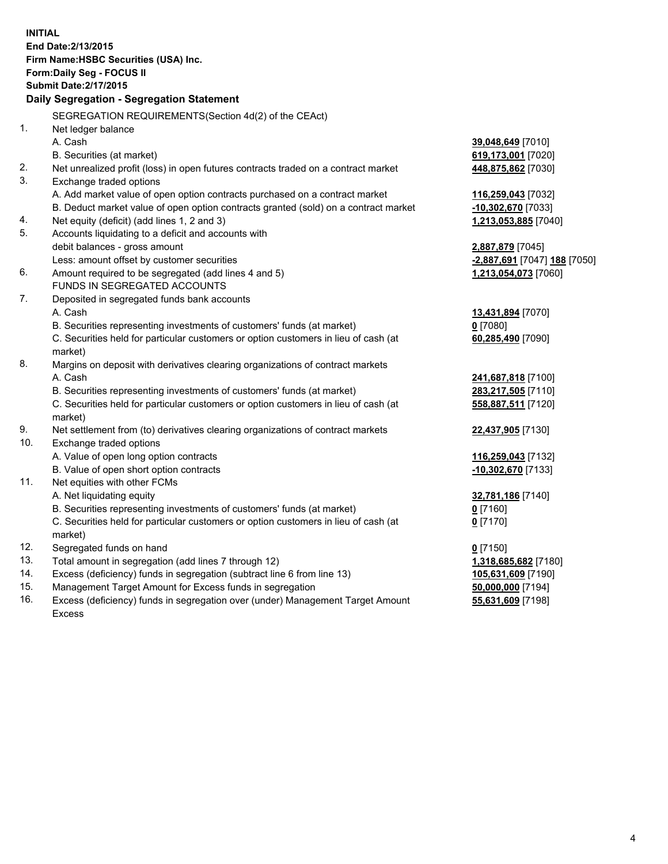| <b>INITIAL</b>                        |                                                                                                |                              |  |  |
|---------------------------------------|------------------------------------------------------------------------------------------------|------------------------------|--|--|
| End Date: 2/13/2015                   |                                                                                                |                              |  |  |
| Firm Name: HSBC Securities (USA) Inc. |                                                                                                |                              |  |  |
| Form: Daily Seg - FOCUS II            |                                                                                                |                              |  |  |
| <b>Submit Date: 2/17/2015</b>         |                                                                                                |                              |  |  |
|                                       | Daily Segregation - Segregation Statement                                                      |                              |  |  |
|                                       | SEGREGATION REQUIREMENTS(Section 4d(2) of the CEAct)                                           |                              |  |  |
| 1.                                    | Net ledger balance                                                                             |                              |  |  |
|                                       | A. Cash                                                                                        | 39,048,649 [7010]            |  |  |
|                                       | B. Securities (at market)                                                                      | 619,173,001 [7020]           |  |  |
| 2.                                    | Net unrealized profit (loss) in open futures contracts traded on a contract market             | 448,875,862 [7030]           |  |  |
| 3.                                    | Exchange traded options                                                                        |                              |  |  |
|                                       | A. Add market value of open option contracts purchased on a contract market                    | 116,259,043 [7032]           |  |  |
|                                       | B. Deduct market value of open option contracts granted (sold) on a contract market            | -10,302,670 [7033]           |  |  |
| 4.                                    | Net equity (deficit) (add lines 1, 2 and 3)                                                    | 1,213,053,885 [7040]         |  |  |
| 5.                                    | Accounts liquidating to a deficit and accounts with                                            |                              |  |  |
|                                       | debit balances - gross amount                                                                  | 2,887,879 [7045]             |  |  |
|                                       | Less: amount offset by customer securities                                                     | -2,887,691 [7047] 188 [7050] |  |  |
| 6.                                    | Amount required to be segregated (add lines 4 and 5)                                           | 1,213,054,073 [7060]         |  |  |
|                                       | FUNDS IN SEGREGATED ACCOUNTS                                                                   |                              |  |  |
| 7.                                    | Deposited in segregated funds bank accounts                                                    |                              |  |  |
|                                       | A. Cash                                                                                        | 13,431,894 [7070]            |  |  |
|                                       | B. Securities representing investments of customers' funds (at market)                         | $0$ [7080]                   |  |  |
|                                       | C. Securities held for particular customers or option customers in lieu of cash (at            | 60,285,490 [7090]            |  |  |
|                                       | market)                                                                                        |                              |  |  |
| 8.                                    | Margins on deposit with derivatives clearing organizations of contract markets                 |                              |  |  |
|                                       | A. Cash                                                                                        | 241,687,818 [7100]           |  |  |
|                                       | B. Securities representing investments of customers' funds (at market)                         | 283,217,505 [7110]           |  |  |
|                                       | C. Securities held for particular customers or option customers in lieu of cash (at<br>market) | 558,887,511 [7120]           |  |  |
| 9.                                    | Net settlement from (to) derivatives clearing organizations of contract markets                | 22,437,905 [7130]            |  |  |
| 10.                                   | Exchange traded options                                                                        |                              |  |  |
|                                       | A. Value of open long option contracts                                                         | 116,259,043 [7132]           |  |  |
|                                       | B. Value of open short option contracts                                                        | -10,302,670 [7133]           |  |  |
| 11.                                   | Net equities with other FCMs                                                                   |                              |  |  |
|                                       | A. Net liquidating equity                                                                      | 32,781,186 [7140]            |  |  |
|                                       | B. Securities representing investments of customers' funds (at market)                         | $0$ [7160]                   |  |  |
|                                       | C. Securities held for particular customers or option customers in lieu of cash (at            | $0$ [7170]                   |  |  |
|                                       | market)                                                                                        |                              |  |  |
| 12.                                   | Segregated funds on hand                                                                       | $0$ [7150]                   |  |  |
| 13.                                   | Total amount in segregation (add lines 7 through 12)                                           | 1,318,685,682 [7180]         |  |  |
| 14.                                   | Excess (deficiency) funds in segregation (subtract line 6 from line 13)                        | 105,631,609 [7190]           |  |  |
| 15.                                   | Management Target Amount for Excess funds in segregation                                       | 50,000,000 [7194]            |  |  |
| 16.                                   | Excess (deficiency) funds in segregation over (under) Management Target Amount                 | 55,631,609 [7198]            |  |  |

Excess